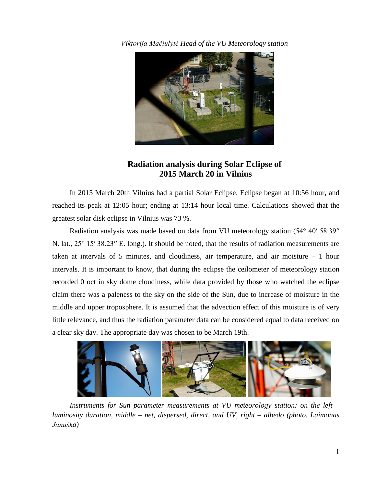*Viktorija Mačiulytė Head of the VU Meteorology station*



## **Radiation analysis during Solar Eclipse of 2015 March 20 in Vilnius**

In 2015 March 20th Vilnius had a partial Solar Eclipse. Eclipse began at 10:56 hour, and reached its peak at 12:05 hour; ending at 13:14 hour local time. Calculations showed that the greatest solar disk eclipse in Vilnius was 73 %.

Radiation analysis was made based on data from VU meteorology station (54° 40′ 58.39′′ N. lat.,  $25^{\circ}$  15′ 38.23″ E. long.). It should be noted, that the results of radiation measurements are taken at intervals of 5 minutes, and cloudiness, air temperature, and air moisture – 1 hour intervals. It is important to know, that during the eclipse the ceilometer of meteorology station recorded 0 oct in sky dome cloudiness, while data provided by those who watched the eclipse claim there was a paleness to the sky on the side of the Sun, due to increase of moisture in the middle and upper troposphere. It is assumed that the advection effect of this moisture is of very little relevance, and thus the radiation parameter data can be considered equal to data received on a clear sky day. The appropriate day was chosen to be March 19th.



*Instruments for Sun parameter measurements at VU meteorology station: on the left – luminosity duration, middle – net, dispersed, direct, and UV, right – albedo (photo. Laimonas Januška)*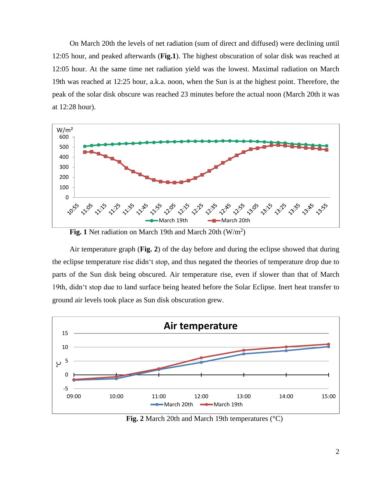On March 20th the levels of net radiation (sum of direct and diffused) were declining until 12:05 hour, and peaked afterwards (**Fig.1**). The highest obscuration of solar disk was reached at 12:05 hour. At the same time net radiation yield was the lowest. Maximal radiation on March 19th was reached at 12:25 hour, a.k.a. noon, when the Sun is at the highest point. Therefore, the peak of the solar disk obscure was reached 23 minutes before the actual noon (March 20th it was at 12:28 hour).





Air temperature graph (**Fig. 2**) of the day before and during the eclipse showed that during the eclipse temperature rise didn't stop, and thus negated the theories of temperature drop due to parts of the Sun disk being obscured. Air temperature rise, even if slower than that of March 19th, didn't stop due to land surface being heated before the Solar Eclipse. Inert heat transfer to ground air levels took place as Sun disk obscuration grew.



**Fig. 2** March 20th and March 19th temperatures (°C)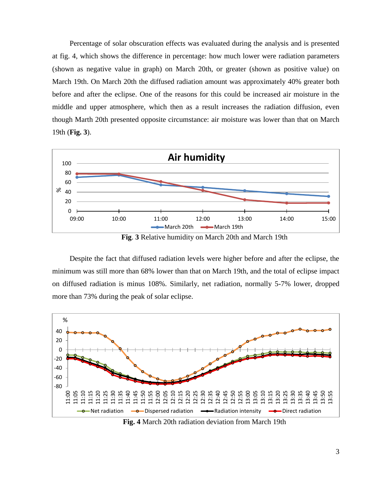Percentage of solar obscuration effects was evaluated during the analysis and is presented at fig. 4, which shows the difference in percentage: how much lower were radiation parameters (shown as negative value in graph) on March 20th, or greater (shown as positive value) on March 19th. On March 20th the diffused radiation amount was approximately 40% greater both before and after the eclipse. One of the reasons for this could be increased air moisture in the middle and upper atmosphere, which then as a result increases the radiation diffusion, even though Marth 20th presented opposite circumstance: air moisture was lower than that on March 19th (**Fig. 3**).



**Fig**. **3** Relative humidity on March 20th and March 19th

Despite the fact that diffused radiation levels were higher before and after the eclipse, the minimum was still more than 68% lower than that on March 19th, and the total of eclipse impact on diffused radiation is minus 108%. Similarly, net radiation, normally 5-7% lower, dropped more than 73% during the peak of solar eclipse.



**Fig. 4** March 20th radiation deviation from March 19th